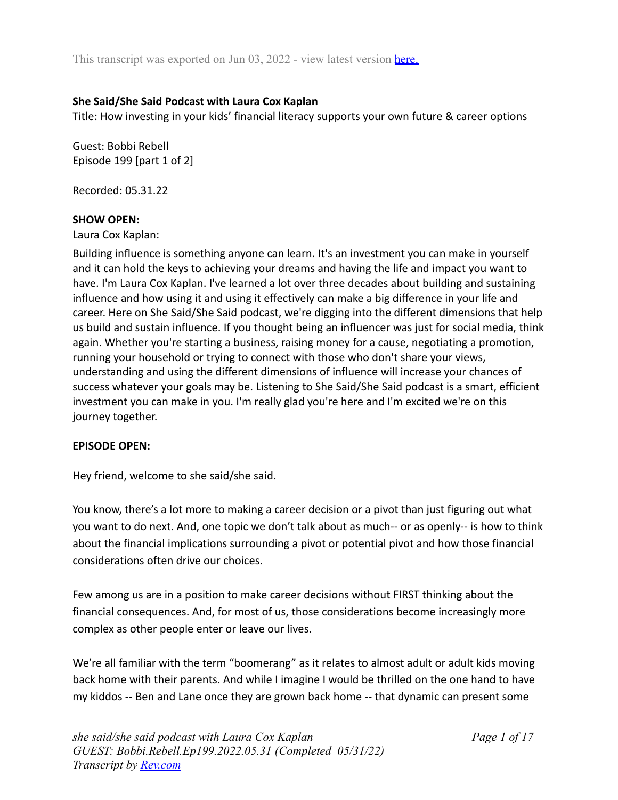### **She Said/She Said Podcast with Laura Cox Kaplan**

Title: How investing in your kids' financial literacy supports your own future & career options

Guest: Bobbi Rebell Episode 199 [part 1 of 2]

Recorded: 05.31.22

### **SHOW OPEN:**

Laura Cox Kaplan:

Building influence is something anyone can learn. It's an investment you can make in yourself and it can hold the keys to achieving your dreams and having the life and impact you want to have. I'm Laura Cox Kaplan. I've learned a lot over three decades about building and sustaining influence and how using it and using it effectively can make a big difference in your life and career. Here on She Said/She Said podcast, we're digging into the different dimensions that help us build and sustain influence. If you thought being an influencer was just for social media, think again. Whether you're starting a business, raising money for a cause, negotiating a promotion, running your household or trying to connect with those who don't share your views, understanding and using the different dimensions of influence will increase your chances of success whatever your goals may be. Listening to She Said/She Said podcast is a smart, efficient investment you can make in you. I'm really glad you're here and I'm excited we're on this journey together.

### **EPISODE OPEN:**

Hey friend, welcome to she said/she said.

You know, there's a lot more to making a career decision or a pivot than just figuring out what you want to do next. And, one topic we don't talk about as much-- or as openly-- is how to think about the financial implications surrounding a pivot or potential pivot and how those financial considerations often drive our choices.

Few among us are in a position to make career decisions without FIRST thinking about the financial consequences. And, for most of us, those considerations become increasingly more complex as other people enter or leave our lives.

We're all familiar with the term "boomerang" as it relates to almost adult or adult kids moving back home with their parents. And while I imagine I would be thrilled on the one hand to have my kiddos -- Ben and Lane once they are grown back home -- that dynamic can present some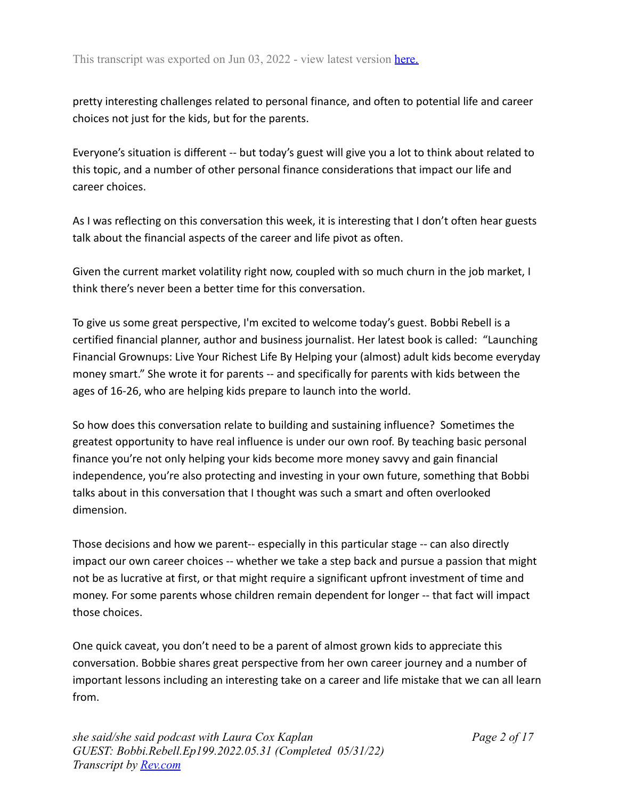pretty interesting challenges related to personal finance, and often to potential life and career choices not just for the kids, but for the parents.

Everyone's situation is different -- but today's guest will give you a lot to think about related to this topic, and a number of other personal finance considerations that impact our life and career choices.

As I was reflecting on this conversation this week, it is interesting that I don't often hear guests talk about the financial aspects of the career and life pivot as often.

Given the current market volatility right now, coupled with so much churn in the job market, I think there's never been a better time for this conversation.

To give us some great perspective, I'm excited to welcome today's guest. Bobbi Rebell is a certified financial planner, author and business journalist. Her latest book is called: "Launching Financial Grownups: Live Your Richest Life By Helping your (almost) adult kids become everyday money smart." She wrote it for parents -- and specifically for parents with kids between the ages of 16-26, who are helping kids prepare to launch into the world.

So how does this conversation relate to building and sustaining influence? Sometimes the greatest opportunity to have real influence is under our own roof. By teaching basic personal finance you're not only helping your kids become more money savvy and gain financial independence, you're also protecting and investing in your own future, something that Bobbi talks about in this conversation that I thought was such a smart and often overlooked dimension.

Those decisions and how we parent-- especially in this particular stage -- can also directly impact our own career choices -- whether we take a step back and pursue a passion that might not be as lucrative at first, or that might require a significant upfront investment of time and money. For some parents whose children remain dependent for longer -- that fact will impact those choices.

One quick caveat, you don't need to be a parent of almost grown kids to appreciate this conversation. Bobbie shares great perspective from her own career journey and a number of important lessons including an interesting take on a career and life mistake that we can all learn from.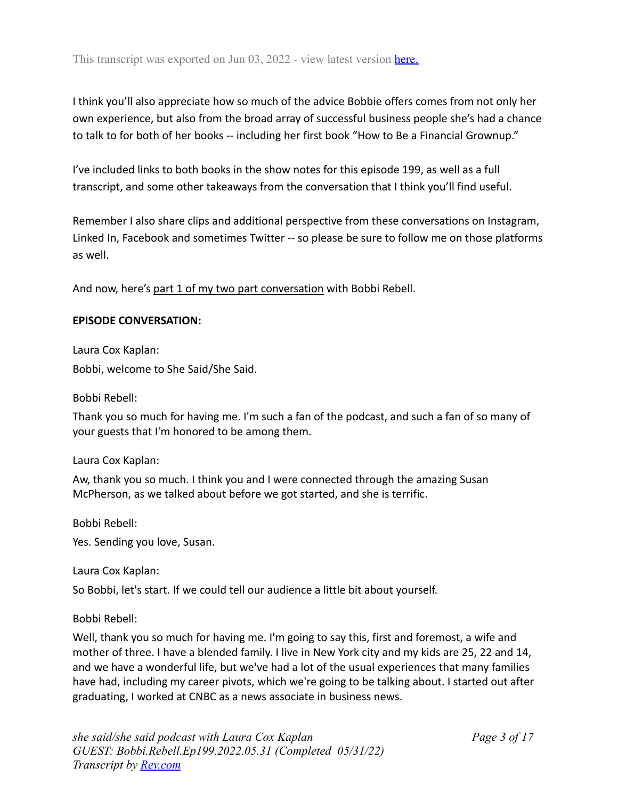I think you'll also appreciate how so much of the advice Bobbie offers comes from not only her own experience, but also from the broad array of successful business people she's had a chance to talk to for both of her books -- including her first book "How to Be a Financial Grownup."

I've included links to both books in the show notes for this episode 199, as well as a full transcript, and some other takeaways from the conversation that I think you'll find useful.

Remember I also share clips and additional perspective from these conversations on Instagram, Linked In, Facebook and sometimes Twitter -- so please be sure to follow me on those platforms as well.

And now, here's part 1 of my two part conversation with Bobbi Rebell.

### **EPISODE CONVERSATION:**

Laura Cox Kaplan: Bobbi, welcome to She Said/She Said.

Bobbi Rebell:

Thank you so much for having me. I'm such a fan of the podcast, and such a fan of so many of your guests that I'm honored to be among them.

Laura Cox Kaplan:

Aw, thank you so much. I think you and I were connected through the amazing Susan McPherson, as we talked about before we got started, and she is terrific.

Bobbi Rebell:

Yes. Sending you love, Susan.

Laura Cox Kaplan:

So Bobbi, let's start. If we could tell our audience a little bit about yourself.

### Bobbi Rebell:

Well, thank you so much for having me. I'm going to say this, first and foremost, a wife and mother of three. I have a blended family. I live in New York city and my kids are 25, 22 and 14, and we have a wonderful life, but we've had a lot of the usual experiences that many families have had, including my career pivots, which we're going to be talking about. I started out after graduating, I worked at CNBC as a news associate in business news.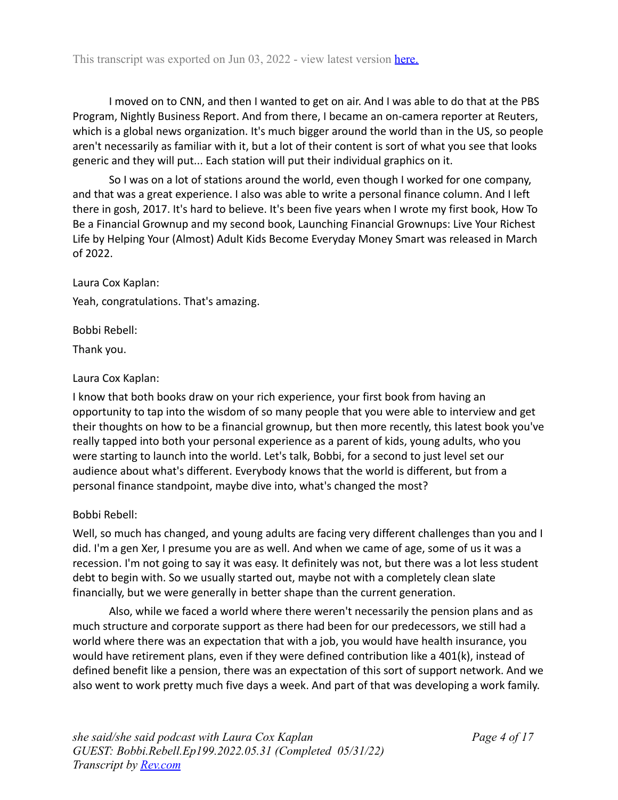I moved on to CNN, and then I wanted to get on air. And I was able to do that at the PBS Program, Nightly Business Report. And from there, I became an on-camera reporter at Reuters, which is a global news organization. It's much bigger around the world than in the US, so people aren't necessarily as familiar with it, but a lot of their content is sort of what you see that looks generic and they will put... Each station will put their individual graphics on it.

So I was on a lot of stations around the world, even though I worked for one company, and that was a great experience. I also was able to write a personal finance column. And I left there in gosh, 2017. It's hard to believe. It's been five years when I wrote my first book, How To Be a Financial Grownup and my second book, Launching Financial Grownups: Live Your Richest Life by Helping Your (Almost) Adult Kids Become Everyday Money Smart was released in March of 2022.

Laura Cox Kaplan: Yeah, congratulations. That's amazing.

Bobbi Rebell:

Thank you.

# Laura Cox Kaplan:

I know that both books draw on your rich experience, your first book from having an opportunity to tap into the wisdom of so many people that you were able to interview and get their thoughts on how to be a financial grownup, but then more recently, this latest book you've really tapped into both your personal experience as a parent of kids, young adults, who you were starting to launch into the world. Let's talk, Bobbi, for a second to just level set our audience about what's different. Everybody knows that the world is different, but from a personal finance standpoint, maybe dive into, what's changed the most?

# Bobbi Rebell:

Well, so much has changed, and young adults are facing very different challenges than you and I did. I'm a gen Xer, I presume you are as well. And when we came of age, some of us it was a recession. I'm not going to say it was easy. It definitely was not, but there was a lot less student debt to begin with. So we usually started out, maybe not with a completely clean slate financially, but we were generally in better shape than the current generation.

Also, while we faced a world where there weren't necessarily the pension plans and as much structure and corporate support as there had been for our predecessors, we still had a world where there was an expectation that with a job, you would have health insurance, you would have retirement plans, even if they were defined contribution like a 401(k), instead of defined benefit like a pension, there was an expectation of this sort of support network. And we also went to work pretty much five days a week. And part of that was developing a work family.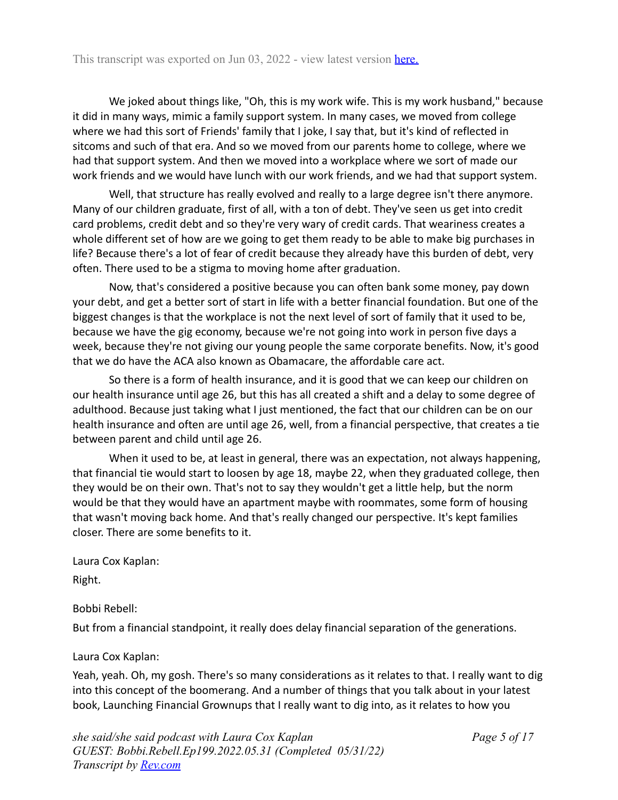We joked about things like, "Oh, this is my work wife. This is my work husband," because it did in many ways, mimic a family support system. In many cases, we moved from college where we had this sort of Friends' family that I joke, I say that, but it's kind of reflected in sitcoms and such of that era. And so we moved from our parents home to college, where we had that support system. And then we moved into a workplace where we sort of made our work friends and we would have lunch with our work friends, and we had that support system.

Well, that structure has really evolved and really to a large degree isn't there anymore. Many of our children graduate, first of all, with a ton of debt. They've seen us get into credit card problems, credit debt and so they're very wary of credit cards. That weariness creates a whole different set of how are we going to get them ready to be able to make big purchases in life? Because there's a lot of fear of credit because they already have this burden of debt, very often. There used to be a stigma to moving home after graduation.

Now, that's considered a positive because you can often bank some money, pay down your debt, and get a better sort of start in life with a better financial foundation. But one of the biggest changes is that the workplace is not the next level of sort of family that it used to be, because we have the gig economy, because we're not going into work in person five days a week, because they're not giving our young people the same corporate benefits. Now, it's good that we do have the ACA also known as Obamacare, the affordable care act.

So there is a form of health insurance, and it is good that we can keep our children on our health insurance until age 26, but this has all created a shift and a delay to some degree of adulthood. Because just taking what I just mentioned, the fact that our children can be on our health insurance and often are until age 26, well, from a financial perspective, that creates a tie between parent and child until age 26.

When it used to be, at least in general, there was an expectation, not always happening, that financial tie would start to loosen by age 18, maybe 22, when they graduated college, then they would be on their own. That's not to say they wouldn't get a little help, but the norm would be that they would have an apartment maybe with roommates, some form of housing that wasn't moving back home. And that's really changed our perspective. It's kept families closer. There are some benefits to it.

Laura Cox Kaplan:

Right.

Bobbi Rebell:

But from a financial standpoint, it really does delay financial separation of the generations.

Laura Cox Kaplan:

Yeah, yeah. Oh, my gosh. There's so many considerations as it relates to that. I really want to dig into this concept of the boomerang. And a number of things that you talk about in your latest book, Launching Financial Grownups that I really want to dig into, as it relates to how you

*she said/she said podcast with Laura Cox Kaplan GUEST: Bobbi.Rebell.Ep199.2022.05.31 (Completed 05/31/22) Transcript by [Rev.com](https://www.rev.com)*

*Page 5 of 17*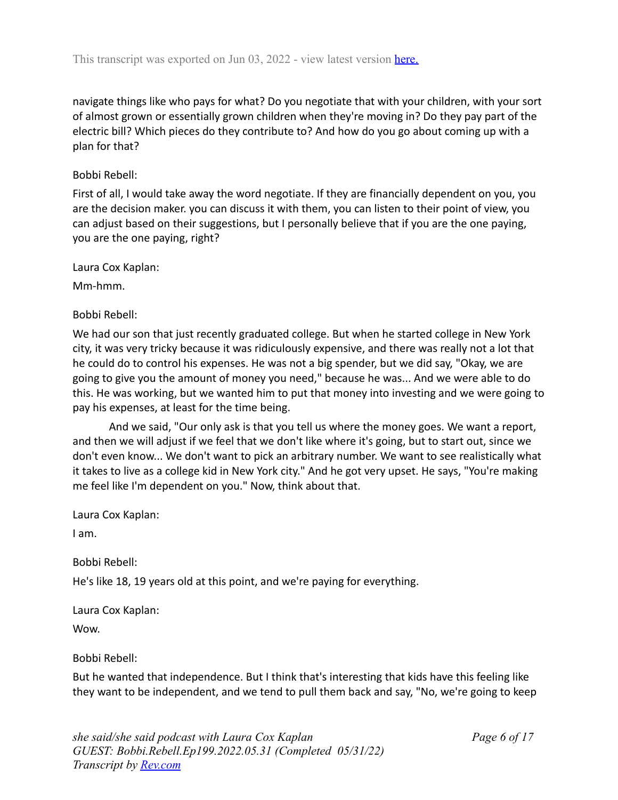navigate things like who pays for what? Do you negotiate that with your children, with your sort of almost grown or essentially grown children when they're moving in? Do they pay part of the electric bill? Which pieces do they contribute to? And how do you go about coming up with a plan for that?

### Bobbi Rebell:

First of all, I would take away the word negotiate. If they are financially dependent on you, you are the decision maker. you can discuss it with them, you can listen to their point of view, you can adjust based on their suggestions, but I personally believe that if you are the one paying, you are the one paying, right?

Laura Cox Kaplan:

Mm-hmm.

### Bobbi Rebell:

We had our son that just recently graduated college. But when he started college in New York city, it was very tricky because it was ridiculously expensive, and there was really not a lot that he could do to control his expenses. He was not a big spender, but we did say, "Okay, we are going to give you the amount of money you need," because he was... And we were able to do this. He was working, but we wanted him to put that money into investing and we were going to pay his expenses, at least for the time being.

And we said, "Our only ask is that you tell us where the money goes. We want a report, and then we will adjust if we feel that we don't like where it's going, but to start out, since we don't even know... We don't want to pick an arbitrary number. We want to see realistically what it takes to live as a college kid in New York city." And he got very upset. He says, "You're making me feel like I'm dependent on you." Now, think about that.

Laura Cox Kaplan:

I am.

Bobbi Rebell:

He's like 18, 19 years old at this point, and we're paying for everything.

Laura Cox Kaplan:

Wow.

Bobbi Rebell:

But he wanted that independence. But I think that's interesting that kids have this feeling like they want to be independent, and we tend to pull them back and say, "No, we're going to keep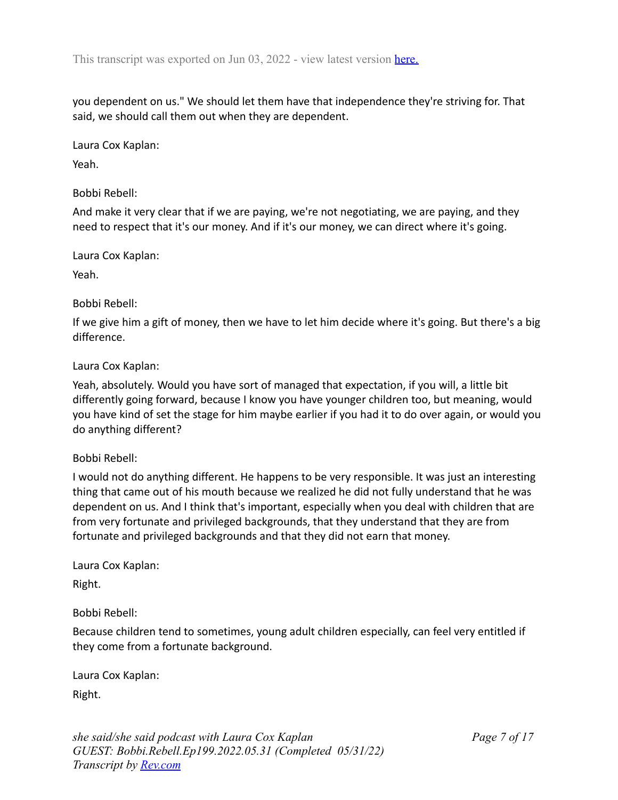you dependent on us." We should let them have that independence they're striving for. That said, we should call them out when they are dependent.

Laura Cox Kaplan:

Yeah.

### Bobbi Rebell:

And make it very clear that if we are paying, we're not negotiating, we are paying, and they need to respect that it's our money. And if it's our money, we can direct where it's going.

Laura Cox Kaplan:

Yeah.

### Bobbi Rebell:

If we give him a gift of money, then we have to let him decide where it's going. But there's a big difference.

### Laura Cox Kaplan:

Yeah, absolutely. Would you have sort of managed that expectation, if you will, a little bit differently going forward, because I know you have younger children too, but meaning, would you have kind of set the stage for him maybe earlier if you had it to do over again, or would you do anything different?

### Bobbi Rebell:

I would not do anything different. He happens to be very responsible. It was just an interesting thing that came out of his mouth because we realized he did not fully understand that he was dependent on us. And I think that's important, especially when you deal with children that are from very fortunate and privileged backgrounds, that they understand that they are from fortunate and privileged backgrounds and that they did not earn that money.

Laura Cox Kaplan:

Right.

Bobbi Rebell:

Because children tend to sometimes, young adult children especially, can feel very entitled if they come from a fortunate background.

Laura Cox Kaplan:

Right.

*she said/she said podcast with Laura Cox Kaplan GUEST: Bobbi.Rebell.Ep199.2022.05.31 (Completed 05/31/22) Transcript by [Rev.com](https://www.rev.com)*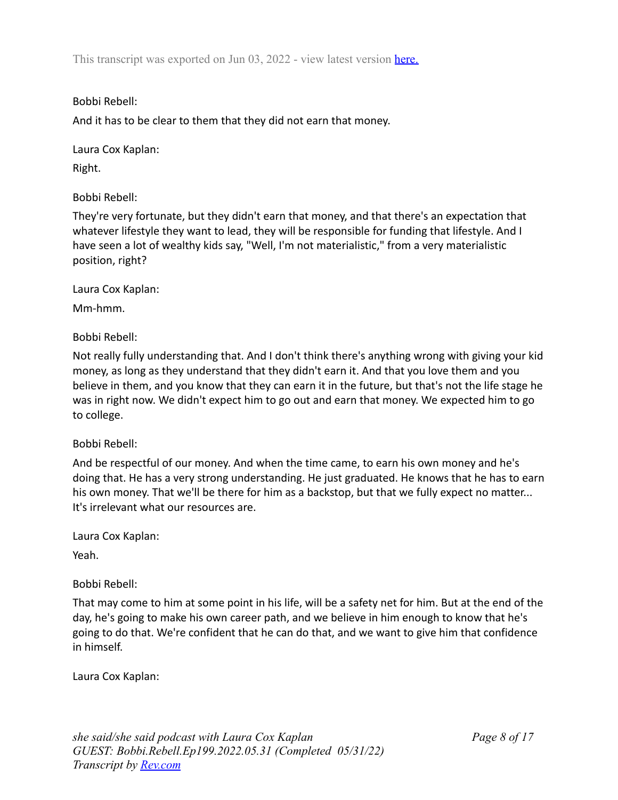Bobbi Rebell:

And it has to be clear to them that they did not earn that money.

Laura Cox Kaplan: Right.

Bobbi Rebell:

They're very fortunate, but they didn't earn that money, and that there's an expectation that whatever lifestyle they want to lead, they will be responsible for funding that lifestyle. And I have seen a lot of wealthy kids say, "Well, I'm not materialistic," from a very materialistic position, right?

Laura Cox Kaplan:

Mm-hmm.

Bobbi Rebell:

Not really fully understanding that. And I don't think there's anything wrong with giving your kid money, as long as they understand that they didn't earn it. And that you love them and you believe in them, and you know that they can earn it in the future, but that's not the life stage he was in right now. We didn't expect him to go out and earn that money. We expected him to go to college.

Bobbi Rebell:

And be respectful of our money. And when the time came, to earn his own money and he's doing that. He has a very strong understanding. He just graduated. He knows that he has to earn his own money. That we'll be there for him as a backstop, but that we fully expect no matter... It's irrelevant what our resources are.

Laura Cox Kaplan:

Yeah.

Bobbi Rebell:

That may come to him at some point in his life, will be a safety net for him. But at the end of the day, he's going to make his own career path, and we believe in him enough to know that he's going to do that. We're confident that he can do that, and we want to give him that confidence in himself.

Laura Cox Kaplan: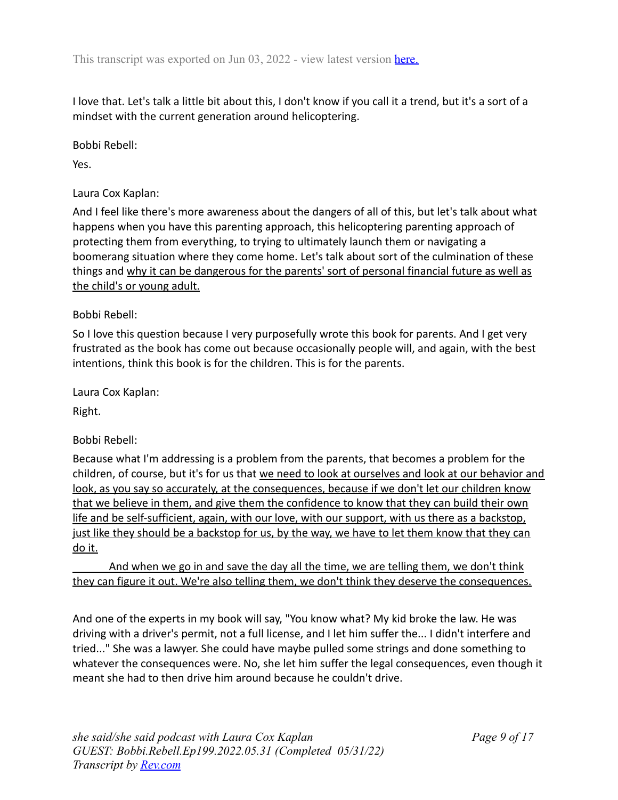I love that. Let's talk a little bit about this, I don't know if you call it a trend, but it's a sort of a mindset with the current generation around helicoptering.

Bobbi Rebell:

Yes.

Laura Cox Kaplan:

And I feel like there's more awareness about the dangers of all of this, but let's talk about what happens when you have this parenting approach, this helicoptering parenting approach of protecting them from everything, to trying to ultimately launch them or navigating a boomerang situation where they come home. Let's talk about sort of the culmination of these things and why it can be dangerous for the parents' sort of personal financial future as well as the child's or young adult.

### Bobbi Rebell:

So I love this question because I very purposefully wrote this book for parents. And I get very frustrated as the book has come out because occasionally people will, and again, with the best intentions, think this book is for the children. This is for the parents.

Laura Cox Kaplan:

Right.

### Bobbi Rebell:

Because what I'm addressing is a problem from the parents, that becomes a problem for the children, of course, but it's for us that we need to look at ourselves and look at our behavior and look, as you say so accurately, at the consequences, because if we don't let our children know that we believe in them, and give them the confidence to know that they can build their own life and be self-sufficient, again, with our love, with our support, with us there as a backstop, just like they should be a backstop for us, by the way, we have to let them know that they can do it.

And when we go in and save the day all the time, we are telling them, we don't think they can figure it out. We're also telling them, we don't think they deserve the consequences.

And one of the experts in my book will say, "You know what? My kid broke the law. He was driving with a driver's permit, not a full license, and I let him suffer the... I didn't interfere and tried..." She was a lawyer. She could have maybe pulled some strings and done something to whatever the consequences were. No, she let him suffer the legal consequences, even though it meant she had to then drive him around because he couldn't drive.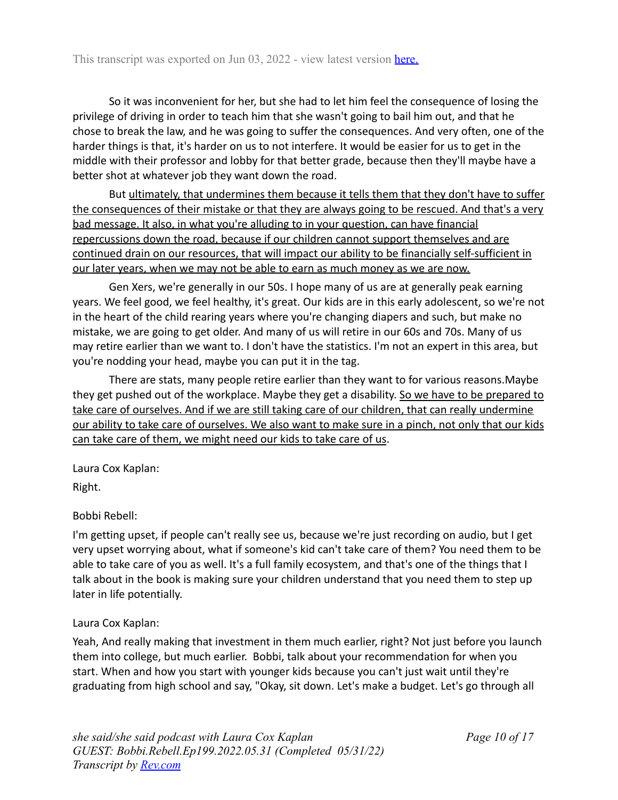So it was inconvenient for her, but she had to let him feel the consequence of losing the privilege of driving in order to teach him that she wasn't going to bail him out, and that he chose to break the law, and he was going to suffer the consequences. And very often, one of the harder things is that, it's harder on us to not interfere. It would be easier for us to get in the middle with their professor and lobby for that better grade, because then they'll maybe have a better shot at whatever job they want down the road.

But ultimately, that undermines them because it tells them that they don't have to suffer the consequences of their mistake or that they are always going to be rescued. And that's a very bad message. It also, in what you're alluding to in your question, can have financial repercussions down the road, because if our children cannot support themselves and are continued drain on our resources, that will impact our ability to be financially self-sufficient in our later years, when we may not be able to earn as much money as we are now.

Gen Xers, we're generally in our 50s. I hope many of us are at generally peak earning years. We feel good, we feel healthy, it's great. Our kids are in this early adolescent, so we're not in the heart of the child rearing years where you're changing diapers and such, but make no mistake, we are going to get older. And many of us will retire in our 60s and 70s. Many of us may retire earlier than we want to. I don't have the statistics. I'm not an expert in this area, but you're nodding your head, maybe you can put it in the tag.

There are stats, many people retire earlier than they want to for various reasons.Maybe they get pushed out of the workplace. Maybe they get a disability. So we have to be prepared to take care of ourselves. And if we are still taking care of our children, that can really undermine our ability to take care of ourselves. We also want to make sure in a pinch, not only that our kids can take care of them, we might need our kids to take care of us.

Laura Cox Kaplan:

Right.

# Bobbi Rebell:

I'm getting upset, if people can't really see us, because we're just recording on audio, but I get very upset worrying about, what if someone's kid can't take care of them? You need them to be able to take care of you as well. It's a full family ecosystem, and that's one of the things that I talk about in the book is making sure your children understand that you need them to step up later in life potentially.

# Laura Cox Kaplan:

Yeah, And really making that investment in them much earlier, right? Not just before you launch them into college, but much earlier. Bobbi, talk about your recommendation for when you start. When and how you start with younger kids because you can't just wait until they're graduating from high school and say, "Okay, sit down. Let's make a budget. Let's go through all

*Page 10 of 17*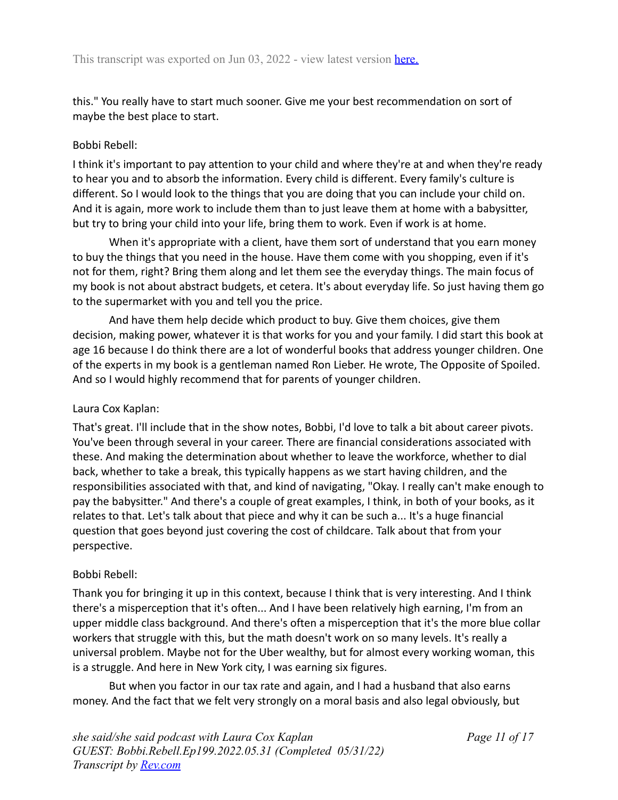this." You really have to start much sooner. Give me your best recommendation on sort of maybe the best place to start.

## Bobbi Rebell:

I think it's important to pay attention to your child and where they're at and when they're ready to hear you and to absorb the information. Every child is different. Every family's culture is different. So I would look to the things that you are doing that you can include your child on. And it is again, more work to include them than to just leave them at home with a babysitter, but try to bring your child into your life, bring them to work. Even if work is at home.

When it's appropriate with a client, have them sort of understand that you earn money to buy the things that you need in the house. Have them come with you shopping, even if it's not for them, right? Bring them along and let them see the everyday things. The main focus of my book is not about abstract budgets, et cetera. It's about everyday life. So just having them go to the supermarket with you and tell you the price.

And have them help decide which product to buy. Give them choices, give them decision, making power, whatever it is that works for you and your family. I did start this book at age 16 because I do think there are a lot of wonderful books that address younger children. One of the experts in my book is a gentleman named Ron Lieber. He wrote, The Opposite of Spoiled. And so I would highly recommend that for parents of younger children.

### Laura Cox Kaplan:

That's great. I'll include that in the show notes, Bobbi, I'd love to talk a bit about career pivots. You've been through several in your career. There are financial considerations associated with these. And making the determination about whether to leave the workforce, whether to dial back, whether to take a break, this typically happens as we start having children, and the responsibilities associated with that, and kind of navigating, "Okay. I really can't make enough to pay the babysitter." And there's a couple of great examples, I think, in both of your books, as it relates to that. Let's talk about that piece and why it can be such a... It's a huge financial question that goes beyond just covering the cost of childcare. Talk about that from your perspective.

# Bobbi Rebell:

Thank you for bringing it up in this context, because I think that is very interesting. And I think there's a misperception that it's often... And I have been relatively high earning, I'm from an upper middle class background. And there's often a misperception that it's the more blue collar workers that struggle with this, but the math doesn't work on so many levels. It's really a universal problem. Maybe not for the Uber wealthy, but for almost every working woman, this is a struggle. And here in New York city, I was earning six figures.

But when you factor in our tax rate and again, and I had a husband that also earns money. And the fact that we felt very strongly on a moral basis and also legal obviously, but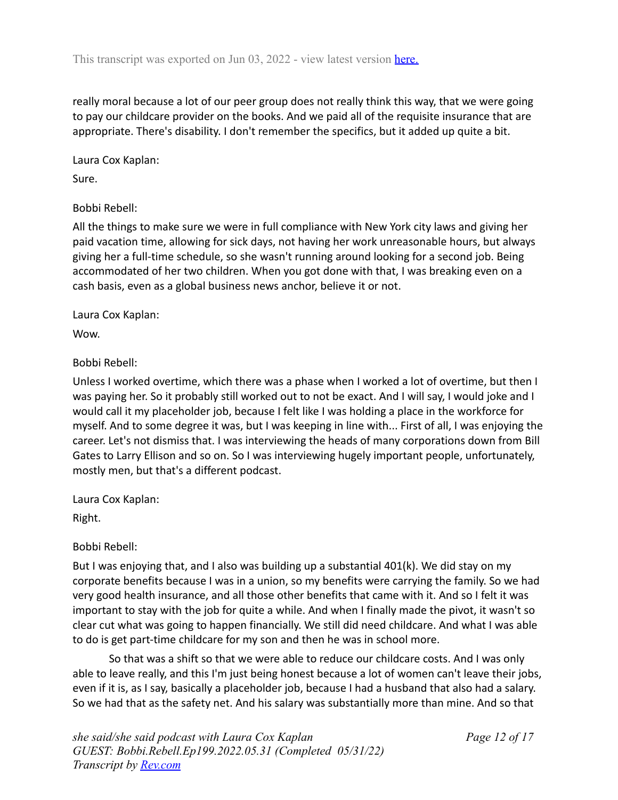really moral because a lot of our peer group does not really think this way, that we were going to pay our childcare provider on the books. And we paid all of the requisite insurance that are appropriate. There's disability. I don't remember the specifics, but it added up quite a bit.

Laura Cox Kaplan: Sure.

### Bobbi Rebell:

All the things to make sure we were in full compliance with New York city laws and giving her paid vacation time, allowing for sick days, not having her work unreasonable hours, but always giving her a full-time schedule, so she wasn't running around looking for a second job. Being accommodated of her two children. When you got done with that, I was breaking even on a cash basis, even as a global business news anchor, believe it or not.

### Laura Cox Kaplan:

Wow.

# Bobbi Rebell:

Unless I worked overtime, which there was a phase when I worked a lot of overtime, but then I was paying her. So it probably still worked out to not be exact. And I will say, I would joke and I would call it my placeholder job, because I felt like I was holding a place in the workforce for myself. And to some degree it was, but I was keeping in line with... First of all, I was enjoying the career. Let's not dismiss that. I was interviewing the heads of many corporations down from Bill Gates to Larry Ellison and so on. So I was interviewing hugely important people, unfortunately, mostly men, but that's a different podcast.

Laura Cox Kaplan:

Right.

# Bobbi Rebell:

But I was enjoying that, and I also was building up a substantial 401(k). We did stay on my corporate benefits because I was in a union, so my benefits were carrying the family. So we had very good health insurance, and all those other benefits that came with it. And so I felt it was important to stay with the job for quite a while. And when I finally made the pivot, it wasn't so clear cut what was going to happen financially. We still did need childcare. And what I was able to do is get part-time childcare for my son and then he was in school more.

So that was a shift so that we were able to reduce our childcare costs. And I was only able to leave really, and this I'm just being honest because a lot of women can't leave their jobs, even if it is, as I say, basically a placeholder job, because I had a husband that also had a salary. So we had that as the safety net. And his salary was substantially more than mine. And so that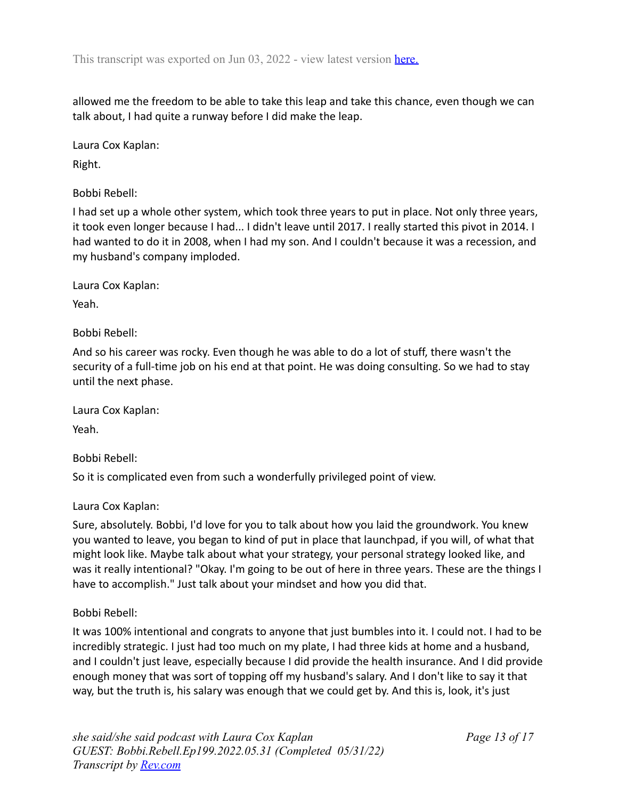allowed me the freedom to be able to take this leap and take this chance, even though we can talk about, I had quite a runway before I did make the leap.

Laura Cox Kaplan:

Right.

Bobbi Rebell:

I had set up a whole other system, which took three years to put in place. Not only three years, it took even longer because I had... I didn't leave until 2017. I really started this pivot in 2014. I had wanted to do it in 2008, when I had my son. And I couldn't because it was a recession, and my husband's company imploded.

Laura Cox Kaplan:

Yeah.

Bobbi Rebell:

And so his career was rocky. Even though he was able to do a lot of stuff, there wasn't the security of a full-time job on his end at that point. He was doing consulting. So we had to stay until the next phase.

Laura Cox Kaplan:

Yeah.

Bobbi Rebell:

So it is complicated even from such a wonderfully privileged point of view.

Laura Cox Kaplan:

Sure, absolutely. Bobbi, I'd love for you to talk about how you laid the groundwork. You knew you wanted to leave, you began to kind of put in place that launchpad, if you will, of what that might look like. Maybe talk about what your strategy, your personal strategy looked like, and was it really intentional? "Okay. I'm going to be out of here in three years. These are the things I have to accomplish." Just talk about your mindset and how you did that.

Bobbi Rebell:

It was 100% intentional and congrats to anyone that just bumbles into it. I could not. I had to be incredibly strategic. I just had too much on my plate, I had three kids at home and a husband, and I couldn't just leave, especially because I did provide the health insurance. And I did provide enough money that was sort of topping off my husband's salary. And I don't like to say it that way, but the truth is, his salary was enough that we could get by. And this is, look, it's just

*Page 13 of 17*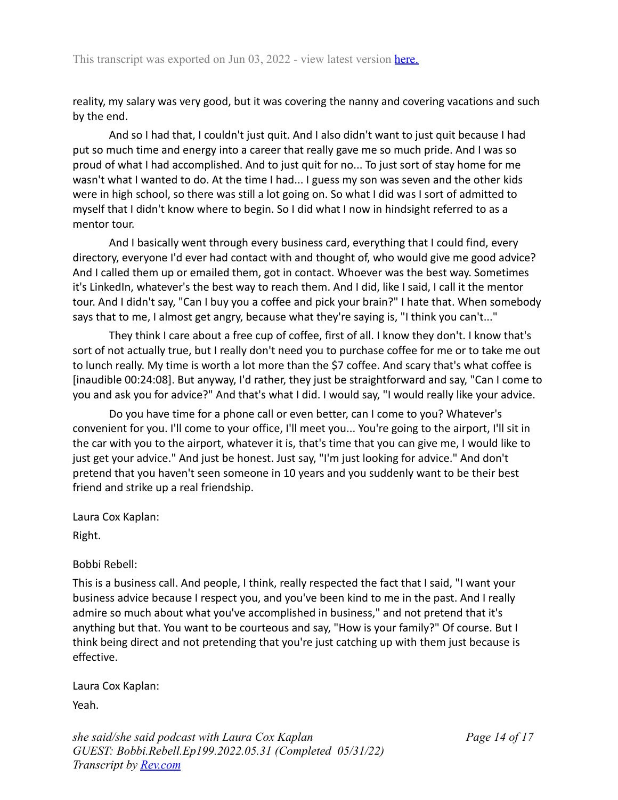reality, my salary was very good, but it was covering the nanny and covering vacations and such by the end.

And so I had that, I couldn't just quit. And I also didn't want to just quit because I had put so much time and energy into a career that really gave me so much pride. And I was so proud of what I had accomplished. And to just quit for no... To just sort of stay home for me wasn't what I wanted to do. At the time I had... I guess my son was seven and the other kids were in high school, so there was still a lot going on. So what I did was I sort of admitted to myself that I didn't know where to begin. So I did what I now in hindsight referred to as a mentor tour.

And I basically went through every business card, everything that I could find, every directory, everyone I'd ever had contact with and thought of, who would give me good advice? And I called them up or emailed them, got in contact. Whoever was the best way. Sometimes it's LinkedIn, whatever's the best way to reach them. And I did, like I said, I call it the mentor tour. And I didn't say, "Can I buy you a coffee and pick your brain?" I hate that. When somebody says that to me, I almost get angry, because what they're saying is, "I think you can't..."

They think I care about a free cup of coffee, first of all. I know they don't. I know that's sort of not actually true, but I really don't need you to purchase coffee for me or to take me out to lunch really. My time is worth a lot more than the \$7 coffee. And scary that's what coffee is [inaudible 00:24:08]. But anyway, I'd rather, they just be straightforward and say, "Can I come to you and ask you for advice?" And that's what I did. I would say, "I would really like your advice.

Do you have time for a phone call or even better, can I come to you? Whatever's convenient for you. I'll come to your office, I'll meet you... You're going to the airport, I'll sit in the car with you to the airport, whatever it is, that's time that you can give me, I would like to just get your advice." And just be honest. Just say, "I'm just looking for advice." And don't pretend that you haven't seen someone in 10 years and you suddenly want to be their best friend and strike up a real friendship.

Laura Cox Kaplan:

Right.

Bobbi Rebell:

This is a business call. And people, I think, really respected the fact that I said, "I want your business advice because I respect you, and you've been kind to me in the past. And I really admire so much about what you've accomplished in business," and not pretend that it's anything but that. You want to be courteous and say, "How is your family?" Of course. But I think being direct and not pretending that you're just catching up with them just because is effective.

Laura Cox Kaplan:

Yeah.

*she said/she said podcast with Laura Cox Kaplan GUEST: Bobbi.Rebell.Ep199.2022.05.31 (Completed 05/31/22) Transcript by [Rev.com](https://www.rev.com)*

*Page 14 of 17*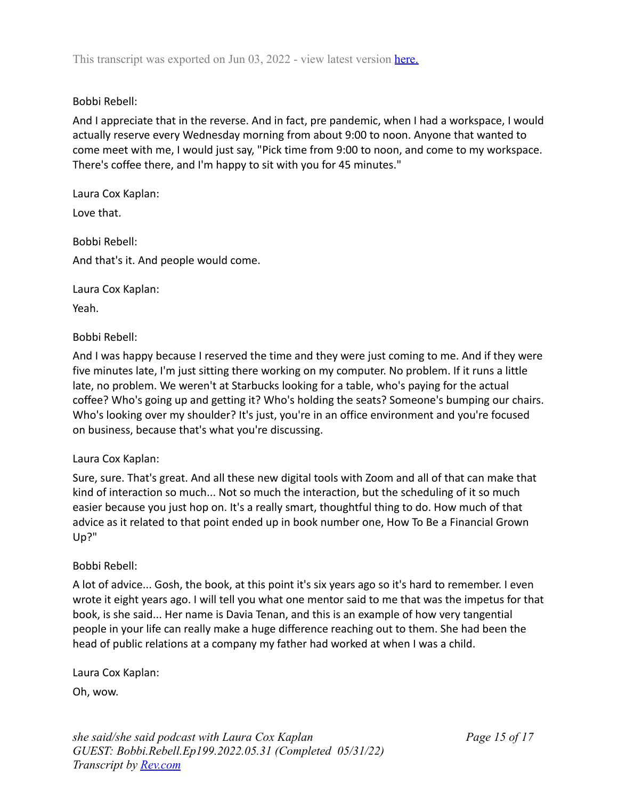### Bobbi Rebell:

And I appreciate that in the reverse. And in fact, pre pandemic, when I had a workspace, I would actually reserve every Wednesday morning from about 9:00 to noon. Anyone that wanted to come meet with me, I would just say, "Pick time from 9:00 to noon, and come to my workspace. There's coffee there, and I'm happy to sit with you for 45 minutes."

Laura Cox Kaplan: Love that.

Bobbi Rebell: And that's it. And people would come.

Laura Cox Kaplan:

Yeah.

Bobbi Rebell:

And I was happy because I reserved the time and they were just coming to me. And if they were five minutes late, I'm just sitting there working on my computer. No problem. If it runs a little late, no problem. We weren't at Starbucks looking for a table, who's paying for the actual coffee? Who's going up and getting it? Who's holding the seats? Someone's bumping our chairs. Who's looking over my shoulder? It's just, you're in an office environment and you're focused on business, because that's what you're discussing.

### Laura Cox Kaplan:

Sure, sure. That's great. And all these new digital tools with Zoom and all of that can make that kind of interaction so much... Not so much the interaction, but the scheduling of it so much easier because you just hop on. It's a really smart, thoughtful thing to do. How much of that advice as it related to that point ended up in book number one, How To Be a Financial Grown Up?"

### Bobbi Rebell:

A lot of advice... Gosh, the book, at this point it's six years ago so it's hard to remember. I even wrote it eight years ago. I will tell you what one mentor said to me that was the impetus for that book, is she said... Her name is Davia Tenan, and this is an example of how very tangential people in your life can really make a huge difference reaching out to them. She had been the head of public relations at a company my father had worked at when I was a child.

Laura Cox Kaplan:

Oh, wow.

*she said/she said podcast with Laura Cox Kaplan GUEST: Bobbi.Rebell.Ep199.2022.05.31 (Completed 05/31/22) Transcript by [Rev.com](https://www.rev.com)*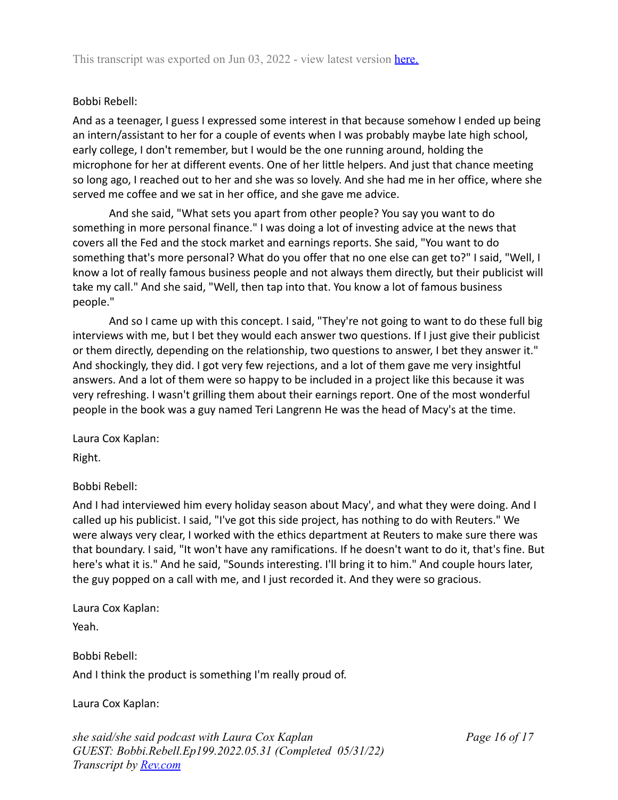# Bobbi Rebell:

And as a teenager, I guess I expressed some interest in that because somehow I ended up being an intern/assistant to her for a couple of events when I was probably maybe late high school, early college, I don't remember, but I would be the one running around, holding the microphone for her at different events. One of her little helpers. And just that chance meeting so long ago, I reached out to her and she was so lovely. And she had me in her office, where she served me coffee and we sat in her office, and she gave me advice.

And she said, "What sets you apart from other people? You say you want to do something in more personal finance." I was doing a lot of investing advice at the news that covers all the Fed and the stock market and earnings reports. She said, "You want to do something that's more personal? What do you offer that no one else can get to?" I said, "Well, I know a lot of really famous business people and not always them directly, but their publicist will take my call." And she said, "Well, then tap into that. You know a lot of famous business people."

And so I came up with this concept. I said, "They're not going to want to do these full big interviews with me, but I bet they would each answer two questions. If I just give their publicist or them directly, depending on the relationship, two questions to answer, I bet they answer it." And shockingly, they did. I got very few rejections, and a lot of them gave me very insightful answers. And a lot of them were so happy to be included in a project like this because it was very refreshing. I wasn't grilling them about their earnings report. One of the most wonderful people in the book was a guy named Teri Langrenn He was the head of Macy's at the time.

Laura Cox Kaplan:

Right.

Bobbi Rebell:

And I had interviewed him every holiday season about Macy', and what they were doing. And I called up his publicist. I said, "I've got this side project, has nothing to do with Reuters." We were always very clear, I worked with the ethics department at Reuters to make sure there was that boundary. I said, "It won't have any ramifications. If he doesn't want to do it, that's fine. But here's what it is." And he said, "Sounds interesting. I'll bring it to him." And couple hours later, the guy popped on a call with me, and I just recorded it. And they were so gracious.

Laura Cox Kaplan:

Yeah.

Bobbi Rebell: And I think the product is something I'm really proud of.

Laura Cox Kaplan:

*she said/she said podcast with Laura Cox Kaplan GUEST: Bobbi.Rebell.Ep199.2022.05.31 (Completed 05/31/22) Transcript by [Rev.com](https://www.rev.com)*

*Page 16 of 17*